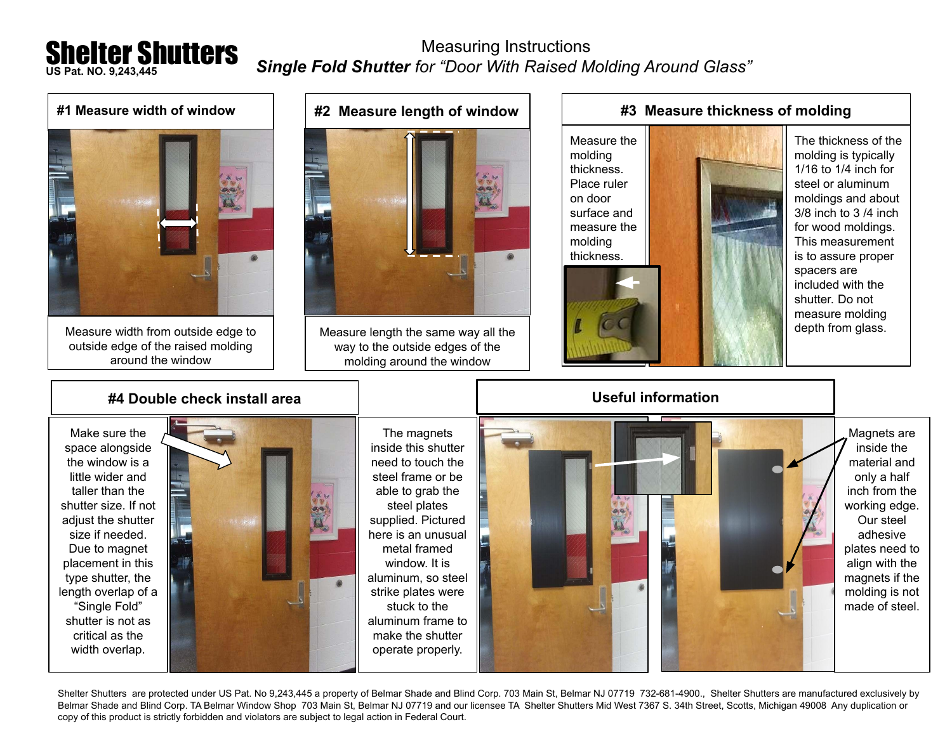## Shelter Shutters **US Pat. NO. 9,243,445**

 Measuring Instructions *Single Fold Shutter for "Door With Raised Molding Around Glass"*



Shelter Shutters are protected under US Pat. No 9,243,445 a property of Belmar Shade and Blind Corp. 703 Main St, Belmar NJ 07719 732-681-4900., Shelter Shutters are manufactured exclusively by Belmar Shade and Blind Corp. TA Belmar Window Shop 703 Main St, Belmar NJ 07719 and our licensee TA Shelter Shutters Mid West 7367 S. 34th Street, Scotts, Michigan 49008 Any duplication or copy of this product is strictly forbidden and violators are subject to legal action in Federal Court.